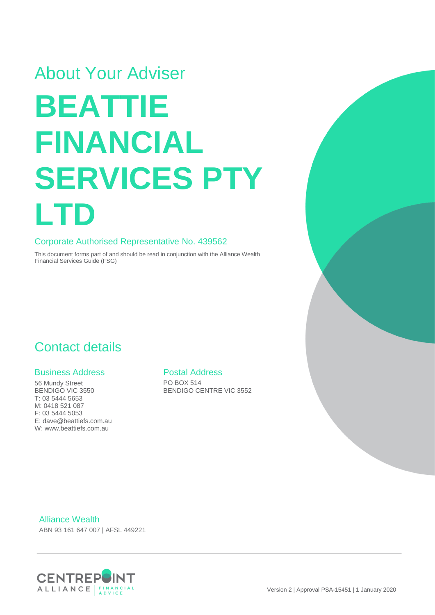# About Your Adviser **BEATTIE FINANCIAL SERVICES PTY LTD**

#### Corporate Authorised Representative No. 439562

This document forms part of and should be read in conjunction with the Alliance Wealth Financial Services Guide (FSG)

### Contact details

#### Business Address

56 Mundy Street BENDIGO VIC 3550 T: 03 5444 5653 M: 0418 521 087 F: 03 5444 5053 E: dave@beattiefs.com.au W: www.beattiefs.com.au

#### Postal Address

PO BOX 514 BENDIGO CENTRE VIC 3552

Alliance Wealth

ABN 93 161 647 007 | AFSL 449221